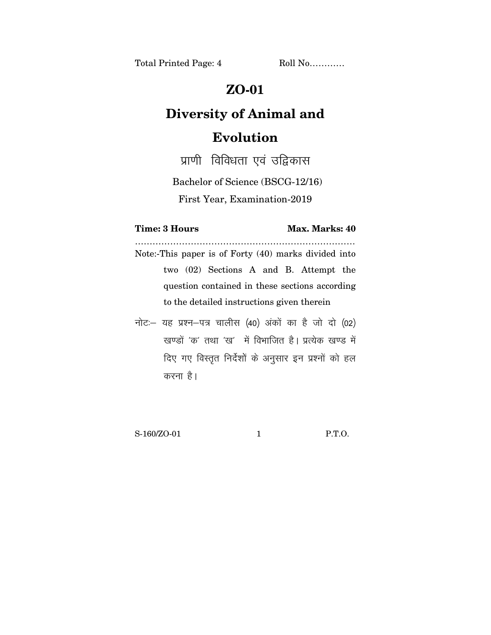Total Printed Page: 4 Roll No............

## **ZO-01**

## **Diversity of Animal and Evolution**

प्राणी विविधता एवं उद्दिकास

Bachelor of Science (BSCG-12/16)

First Year, Examination-2019

**Time: 3 Hours Max. Marks: 40** 

………………………………………………………………… Note:-This paper is of Forty (40) marks divided into two (02) Sections A and B. Attempt the question contained in these sections according to the detailed instructions given therein

नोट: यह प्रश्न-पत्र चालीस (40) अंकों का है जो दो (02) खण्डों 'क' तथा 'ख' में विभाजित है। प्रत्येक खण्ड में दिए गए विस्तुत निर्देशों के अनुसार इन प्रश्नों को हल करना है।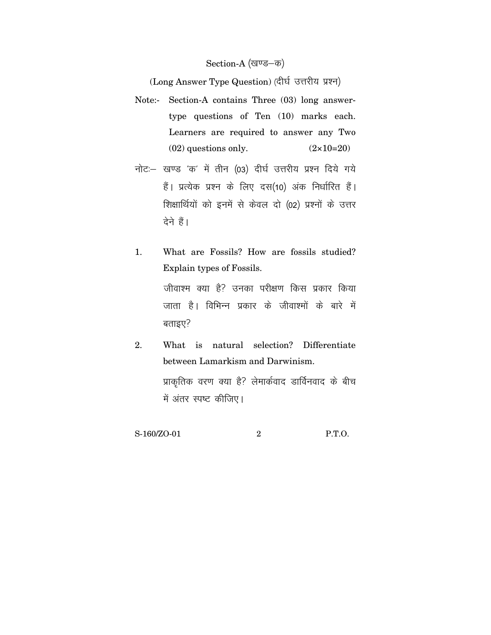## Section-A (खण्ड-क)

(Long Answer Type Question) (दीर्घ उत्तरीय प्रश्न)

- Note:- Section-A contains Three (03) long answertype questions of Ten (10) marks each. Learners are required to answer any Two  $(02)$  questions only.  $(2 \times 10=20)$
- नोट: खण्ड 'क' में तीन (03) दीर्घ उत्तरीय प्रश्न दिये गये हैं। प्रत्येक प्रश्न के लिए दस(10) अंक निर्धारित हैं। शिक्षार्थियों को इनमें से केवल दो (02) प्रश्नों के उत्तर देने हैं।
- 1. What are Fossils? How are fossils studied? Explain types of Fossils. जीवाश्म क्या है? उनका परीक्षण किस प्रकार किया जाता है। विभिन्न प्रकार के जीवाश्मों के बारे में बताइए $?$
- 2. What is natural selection? Differentiate between Lamarkism and Darwinism. प्राकृतिक वरण क्या है? लेमार्कवाद डार्विनवाद के बीच में अंतर स्पष्ट कीजिए।

S-160/ZO-01 2 P.T.O.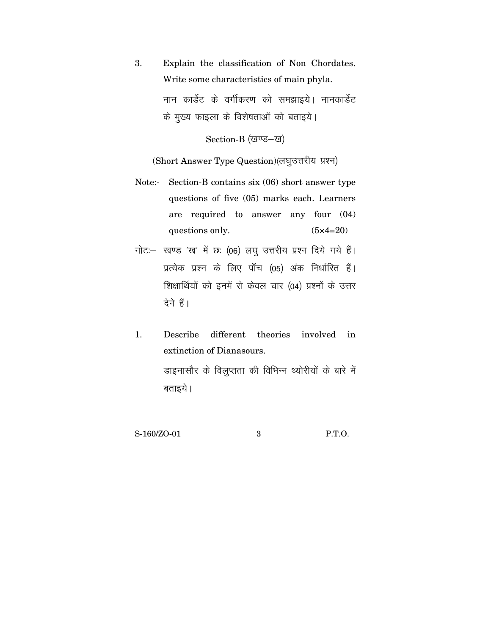3. Explain the classification of Non Chordates. Write some characteristics of main phyla. नान कार्डेट के वर्गीकरण को समझाइये। नानकार्डेट के मुख्य फाइला के विशेषताओं को बताइये। Section-B (खण्ड-ख)

(Short Answer Type Question)(लघुउत्तरीय प्रश्न)

- Note:- Section-B contains six (06) short answer type questions of five (05) marks each. Learners are required to answer any four (04) questions only.  $(5 \times 4=20)$
- नोट: खण्ड 'ख' में छः (06) लघु उत्तरीय प्रश्न दिये गये हैं। प्रत्येक प्रश्न के लिए पाँच (05) अंक निर्धारित हैं। शिक्षार्थियों को इनमें से केवल चार (04) प्रश्नों के उत्तर देने हैं।
- 1. Describe different theories involved in extinction of Dianasours. डाइनासौर के विलुप्तता की विभिन्न थ्योरीयों के बारे में बताइये ।